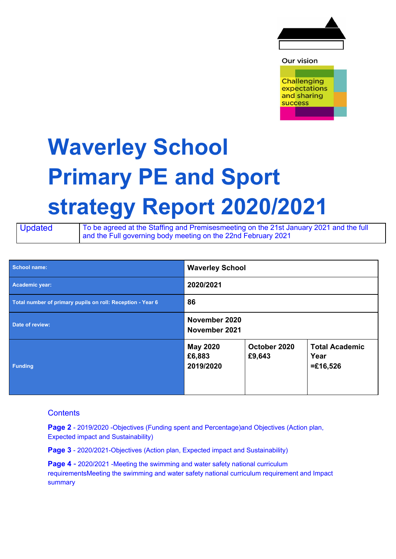

Our vision

**Challenging** expectations and sharing **success** 

## **Waverley School Primary PE and Sport strategy Report 2020/2021**

Updated To be agreed at the Staffing and Premisesmeeting on the 21st January 2021 and the full and the Full governing body meeting on the 22nd February 2021

| <b>School name:</b>                                        | <b>Waverley School</b>                 |                        |                                             |
|------------------------------------------------------------|----------------------------------------|------------------------|---------------------------------------------|
| Academic year:                                             | 2020/2021                              |                        |                                             |
| Total number of primary pupils on roll: Reception - Year 6 | 86                                     |                        |                                             |
| Date of review:                                            | November 2020<br>November 2021         |                        |                                             |
| <b>Funding</b>                                             | <b>May 2020</b><br>£6,883<br>2019/2020 | October 2020<br>£9,643 | <b>Total Academic</b><br>Year<br>$=£16,526$ |

## **Contents**

**Page 2** - 2019/2020 -Objectives (Funding spent and Percentage)and Objectives (Action plan, Expected impact and Sustainability)

**Page 3** - 2020/2021-Objectives (Action plan, Expected impact and Sustainability)

**Page 4** - 2020/2021 -Meeting the swimming and water safety national curriculum requirementsMeeting the swimming and water safety national curriculum requirement and Impact summary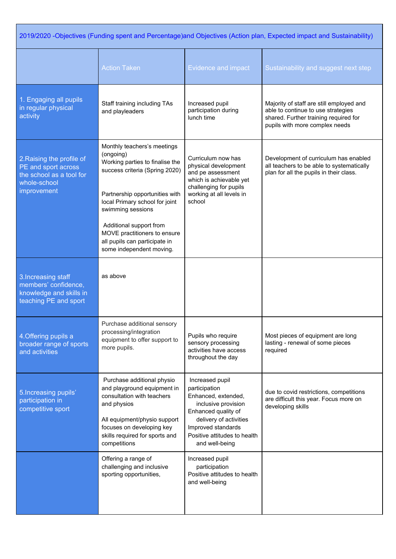| 2019/2020 -Objectives (Funding spent and Percentage)and Objectives (Action plan, Expected impact and Sustainability) |                                                                                                                                                                                                                                                                                                                                |                                                                                                                                                                                                         |                                                                                                                                                           |
|----------------------------------------------------------------------------------------------------------------------|--------------------------------------------------------------------------------------------------------------------------------------------------------------------------------------------------------------------------------------------------------------------------------------------------------------------------------|---------------------------------------------------------------------------------------------------------------------------------------------------------------------------------------------------------|-----------------------------------------------------------------------------------------------------------------------------------------------------------|
|                                                                                                                      | <b>Action Taken</b>                                                                                                                                                                                                                                                                                                            | <b>Evidence and impact</b>                                                                                                                                                                              | Sustainability and suggest next step                                                                                                                      |
| 1. Engaging all pupils<br>in regular physical<br>activity                                                            | Staff training including TAs<br>and playleaders                                                                                                                                                                                                                                                                                | Increased pupil<br>participation during<br>lunch time                                                                                                                                                   | Majority of staff are still employed and<br>able to continue to use strategies<br>shared. Further training required for<br>pupils with more complex needs |
| 2. Raising the profile of<br>PE and sport across<br>the school as a tool for<br>whole-school<br>improvement          | Monthly teachers's meetings<br>(ongoing)<br>Working parties to finalise the<br>success criteria (Spring 2020)<br>Partnership opportunities with<br>local Primary school for joint<br>swimming sessions<br>Additional support from<br>MOVE practitioners to ensure<br>all pupils can participate in<br>some independent moving. | Curriculum now has<br>physical development<br>and pe assessment<br>which is achievable yet<br>challenging for pupils<br>working at all levels in<br>school                                              | Development of curriculum has enabled<br>all teachers to be able to systematically<br>plan for all the pupils in their class.                             |
| 3. Increasing staff<br>members' confidence,<br>knowledge and skills in<br>teaching PE and sport                      | as above                                                                                                                                                                                                                                                                                                                       |                                                                                                                                                                                                         |                                                                                                                                                           |
| 4. Offering pupils a<br>broader range of sports<br>and activities                                                    | Purchase additional sensory<br>processing/integration<br>equipment to offer support to<br>more pupils.                                                                                                                                                                                                                         | Pupils who require<br>sensory processing<br>activities have access<br>throughout the day                                                                                                                | Most pieces of equipment are long<br>lasting - renewal of some pieces<br>required                                                                         |
| 5. Increasing pupils'<br>participation in<br>competitive sport                                                       | Purchase additional physio<br>and playground equipment in<br>consultation with teachers<br>and physios<br>All equipment/physio support<br>focuses on developing key<br>skills required for sports and<br>competitions                                                                                                          | Increased pupil<br>participation<br>Enhanced, extended,<br>inclusive provision<br>Enhanced quality of<br>delivery of activities<br>Improved standards<br>Positive attitudes to health<br>and well-being | due to covid restrictions, competitions<br>are difficult this year. Focus more on<br>developing skills                                                    |
|                                                                                                                      | Offering a range of<br>challenging and inclusive<br>sporting opportunities,                                                                                                                                                                                                                                                    | Increased pupil<br>participation<br>Positive attitudes to health<br>and well-being                                                                                                                      |                                                                                                                                                           |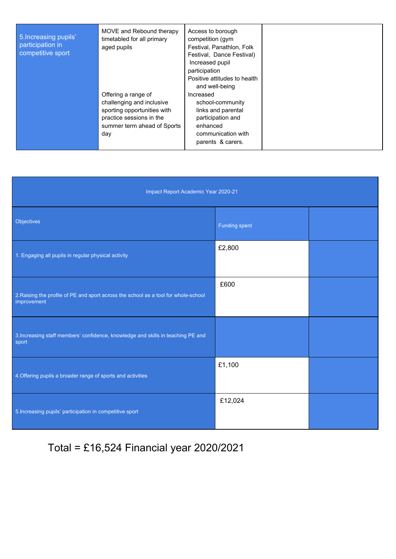| 5. Increasing pupils'<br>participation in<br>competitive sport | MOVE and Rebound therapy<br>timetabled for all primary<br>aged pupils                                                                             | Access to borough<br>competition (gym<br>Festival, Panathlon, Folk<br>Festival, Dance Festival)<br>Increased pupil<br>participation<br>Positive attitudes to health<br>and well-being |  |
|----------------------------------------------------------------|---------------------------------------------------------------------------------------------------------------------------------------------------|---------------------------------------------------------------------------------------------------------------------------------------------------------------------------------------|--|
|                                                                | Offering a range of<br>challenging and inclusive<br>sporting opportunities with<br>practice sessions in the<br>summer term ahead of Sports<br>day | Increased<br>school-community<br>links and parental<br>participation and<br>enhanced<br>communication with<br>parents & carers.                                                       |  |

| Impact Report Academic Year 2020-21                                                                |                      |  |  |
|----------------------------------------------------------------------------------------------------|----------------------|--|--|
| Objectives                                                                                         | <b>Funding spent</b> |  |  |
| 1. Engaging all pupils in regular physical activity                                                | £2,800               |  |  |
| 2. Raising the profile of PE and sport across the school as a tool for whole-school<br>improvement | £600                 |  |  |
| 3. Increasing staff members' confidence, knowledge and skills in teaching PE and<br>sport          |                      |  |  |
| 4. Offering pupils a broader range of sports and activities                                        | £1,100               |  |  |
| 5. Increasing pupils' participation in competitive sport                                           | £12,024              |  |  |

Total = £16,524 Financial year 2020/2021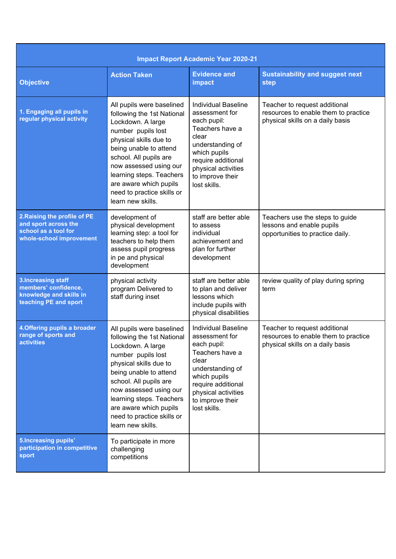| <b>Impact Report Academic Year 2020-21</b>                                                               |                                                                                                                                                                                                                                                                                                                     |                                                                                                                                                                                                              |                                                                                                           |
|----------------------------------------------------------------------------------------------------------|---------------------------------------------------------------------------------------------------------------------------------------------------------------------------------------------------------------------------------------------------------------------------------------------------------------------|--------------------------------------------------------------------------------------------------------------------------------------------------------------------------------------------------------------|-----------------------------------------------------------------------------------------------------------|
| <b>Objective</b>                                                                                         | <b>Action Taken</b>                                                                                                                                                                                                                                                                                                 | <b>Evidence and</b><br>impact                                                                                                                                                                                | <b>Sustainability and suggest next</b><br>step                                                            |
| 1. Engaging all pupils in<br>regular physical activity                                                   | All pupils were baselined<br>following the 1st National<br>Lockdown. A large<br>number pupils lost<br>physical skills due to<br>being unable to attend<br>school. All pupils are<br>now assessed using our<br>learning steps. Teachers<br>are aware which pupils<br>need to practice skills or<br>learn new skills. | <b>Individual Baseline</b><br>assessment for<br>each pupil:<br>Teachers have a<br>clear<br>understanding of<br>which pupils<br>require additional<br>physical activities<br>to improve their<br>lost skills. | Teacher to request additional<br>resources to enable them to practice<br>physical skills on a daily basis |
| 2. Raising the profile of PE<br>and sport across the<br>school as a tool for<br>whole-school improvement | development of<br>physical development<br>learning step: a tool for<br>teachers to help them<br>assess pupil progress<br>in pe and physical<br>development                                                                                                                                                          | staff are better able<br>to assess<br>individual<br>achievement and<br>plan for further<br>development                                                                                                       | Teachers use the steps to guide<br>lessons and enable pupils<br>opportunities to practice daily.          |
| <b>3.Increasing staff</b><br>members' confidence,<br>knowledge and skills in<br>teaching PE and sport    | physical activity<br>program Delivered to<br>staff during inset                                                                                                                                                                                                                                                     | staff are better able<br>to plan and deliver<br>lessons which<br>include pupils with<br>physical disabilities                                                                                                | review quality of play during spring<br>term                                                              |
| 4. Offering pupils a broader<br>range of sports and<br><b>activities</b>                                 | All pupils were baselined<br>following the 1st National<br>Lockdown. A large<br>number pupils lost<br>physical skills due to<br>being unable to attend<br>school. All pupils are<br>now assessed using our<br>learning steps. Teachers<br>are aware which pupils<br>need to practice skills or<br>learn new skills. | <b>Individual Baseline</b><br>assessment for<br>each pupil:<br>Teachers have a<br>clear<br>understanding of<br>which pupils<br>require additional<br>physical activities<br>to improve their<br>lost skills. | Teacher to request additional<br>resources to enable them to practice<br>physical skills on a daily basis |
| <b>5.Increasing pupils'</b><br>participation in competitive<br>sport                                     | To participate in more<br>challenging<br>competitions                                                                                                                                                                                                                                                               |                                                                                                                                                                                                              |                                                                                                           |